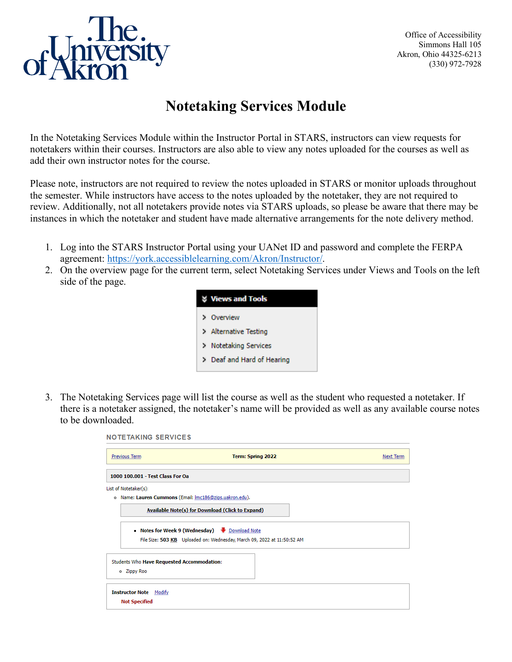

Office of Accessibility Simmons Hall 105 Akron, Ohio 44325-6213 (330) 972-7928

## **Notetaking Services Module**

In the Notetaking Services Module within the Instructor Portal in STARS, instructors can view requests for notetakers within their courses. Instructors are also able to view any notes uploaded for the courses as well as add their own instructor notes for the course.

Please note, instructors are not required to review the notes uploaded in STARS or monitor uploads throughout the semester. While instructors have access to the notes uploaded by the notetaker, they are not required to review. Additionally, not all notetakers provide notes via STARS uploads, so please be aware that there may be instances in which the notetaker and student have made alternative arrangements for the note delivery method.

- 1. Log into the STARS Instructor Portal using your UANet ID and password and complete the FERPA agreement: [https://york.accessiblelearning.com/Akron/Instructor/.](https://york.accessiblelearning.com/Akron/Instructor/)
- 2. On the overview page for the current term, select Notetaking Services under Views and Tools on the left side of the page.



3. The Notetaking Services page will list the course as well as the student who requested a notetaker. If there is a notetaker assigned, the notetaker's name will be provided as well as any available course notes to be downloaded.

| <b>NOTETAKING SERVICES</b>                                       |                                                                                                                       |           |
|------------------------------------------------------------------|-----------------------------------------------------------------------------------------------------------------------|-----------|
| <b>Previous Term</b>                                             | Term: Spring 2022                                                                                                     | Next Term |
| 1000 100,001 - Test Class For Oa                                 |                                                                                                                       |           |
| List of Notetaker(s):                                            |                                                                                                                       |           |
| Name: Lauren Cummons (Email: Imc186@zips.uakron.edu).<br>۰       |                                                                                                                       |           |
|                                                                  | Available Note(s) for Download (Click to Expand)                                                                      |           |
|                                                                  | Notes for Week 9 (Wednesday) Download Note<br>File Size: 503 KB Uploaded on: Wednesday, March 09, 2022 at 11:50:52 AM |           |
| <b>Students Who Have Requested Accommodation:</b><br>o Zippy Roo |                                                                                                                       |           |
| <b>Instructor Note</b><br>Modify<br><b>Not Specified</b>         |                                                                                                                       |           |